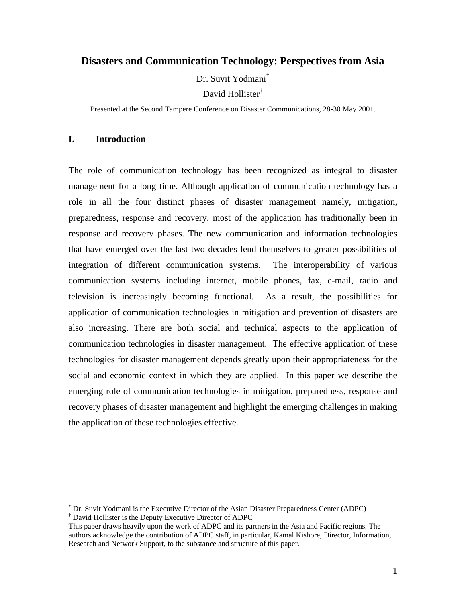# **Disasters and Communication Technology: Perspectives from Asia**

Dr. Suvit Yodmani<sup>\*</sup>

David Hollister†

Presented at the Second Tampere Conference on Disaster Communications, 28-30 May 2001.

## **I. Introduction**

 $\overline{a}$ 

The role of communication technology has been recognized as integral to disaster management for a long time. Although application of communication technology has a role in all the four distinct phases of disaster management namely, mitigation, preparedness, response and recovery, most of the application has traditionally been in response and recovery phases. The new communication and information technologies that have emerged over the last two decades lend themselves to greater possibilities of integration of different communication systems. The interoperability of various communication systems including internet, mobile phones, fax, e-mail, radio and television is increasingly becoming functional. As a result, the possibilities for application of communication technologies in mitigation and prevention of disasters are also increasing. There are both social and technical aspects to the application of communication technologies in disaster management. The effective application of these technologies for disaster management depends greatly upon their appropriateness for the social and economic context in which they are applied. In this paper we describe the emerging role of communication technologies in mitigation, preparedness, response and recovery phases of disaster management and highlight the emerging challenges in making the application of these technologies effective.

<sup>\*</sup> Dr. Suvit Yodmani is the Executive Director of the Asian Disaster Preparedness Center (ADPC) † David Hollister is the Deputy Executive Director of ADPC

This paper draws heavily upon the work of ADPC and its partners in the Asia and Pacific regions. The authors acknowledge the contribution of ADPC staff, in particular, Kamal Kishore, Director, Information, Research and Network Support, to the substance and structure of this paper.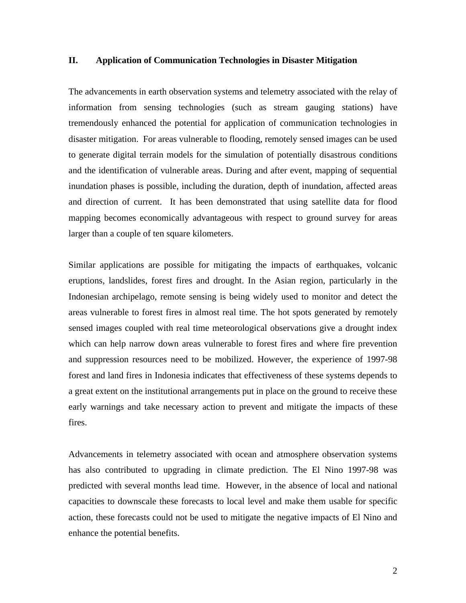### **II. Application of Communication Technologies in Disaster Mitigation**

The advancements in earth observation systems and telemetry associated with the relay of information from sensing technologies (such as stream gauging stations) have tremendously enhanced the potential for application of communication technologies in disaster mitigation. For areas vulnerable to flooding, remotely sensed images can be used to generate digital terrain models for the simulation of potentially disastrous conditions and the identification of vulnerable areas. During and after event, mapping of sequential inundation phases is possible, including the duration, depth of inundation, affected areas and direction of current. It has been demonstrated that using satellite data for flood mapping becomes economically advantageous with respect to ground survey for areas larger than a couple of ten square kilometers.

Similar applications are possible for mitigating the impacts of earthquakes, volcanic eruptions, landslides, forest fires and drought. In the Asian region, particularly in the Indonesian archipelago, remote sensing is being widely used to monitor and detect the areas vulnerable to forest fires in almost real time. The hot spots generated by remotely sensed images coupled with real time meteorological observations give a drought index which can help narrow down areas vulnerable to forest fires and where fire prevention and suppression resources need to be mobilized. However, the experience of 1997-98 forest and land fires in Indonesia indicates that effectiveness of these systems depends to a great extent on the institutional arrangements put in place on the ground to receive these early warnings and take necessary action to prevent and mitigate the impacts of these fires.

Advancements in telemetry associated with ocean and atmosphere observation systems has also contributed to upgrading in climate prediction. The El Nino 1997-98 was predicted with several months lead time. However, in the absence of local and national capacities to downscale these forecasts to local level and make them usable for specific action, these forecasts could not be used to mitigate the negative impacts of El Nino and enhance the potential benefits.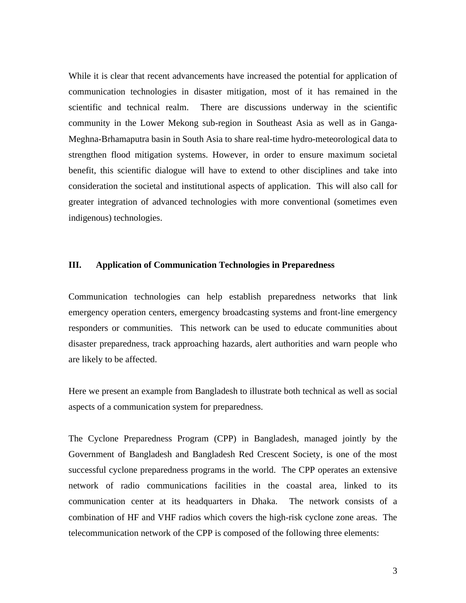While it is clear that recent advancements have increased the potential for application of communication technologies in disaster mitigation, most of it has remained in the scientific and technical realm. There are discussions underway in the scientific community in the Lower Mekong sub-region in Southeast Asia as well as in Ganga-Meghna-Brhamaputra basin in South Asia to share real-time hydro-meteorological data to strengthen flood mitigation systems. However, in order to ensure maximum societal benefit, this scientific dialogue will have to extend to other disciplines and take into consideration the societal and institutional aspects of application. This will also call for greater integration of advanced technologies with more conventional (sometimes even indigenous) technologies.

# **III. Application of Communication Technologies in Preparedness**

Communication technologies can help establish preparedness networks that link emergency operation centers, emergency broadcasting systems and front-line emergency responders or communities. This network can be used to educate communities about disaster preparedness, track approaching hazards, alert authorities and warn people who are likely to be affected.

Here we present an example from Bangladesh to illustrate both technical as well as social aspects of a communication system for preparedness.

The Cyclone Preparedness Program (CPP) in Bangladesh, managed jointly by the Government of Bangladesh and Bangladesh Red Crescent Society, is one of the most successful cyclone preparedness programs in the world. The CPP operates an extensive network of radio communications facilities in the coastal area, linked to its communication center at its headquarters in Dhaka. The network consists of a combination of HF and VHF radios which covers the high-risk cyclone zone areas. The telecommunication network of the CPP is composed of the following three elements: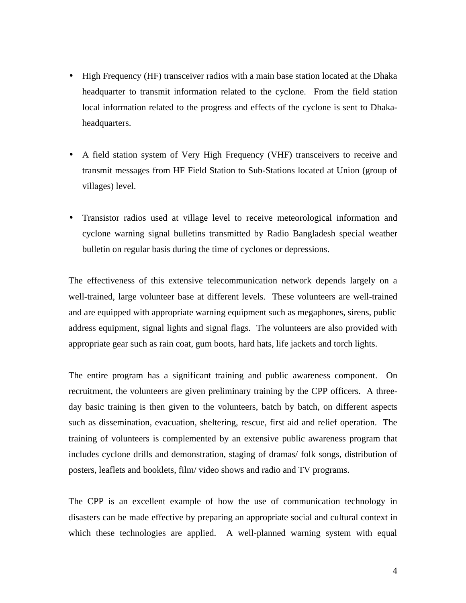- High Frequency (HF) transceiver radios with a main base station located at the Dhaka headquarter to transmit information related to the cyclone. From the field station local information related to the progress and effects of the cyclone is sent to Dhakaheadquarters.
- A field station system of Very High Frequency (VHF) transceivers to receive and transmit messages from HF Field Station to Sub-Stations located at Union (group of villages) level.
- Transistor radios used at village level to receive meteorological information and cyclone warning signal bulletins transmitted by Radio Bangladesh special weather bulletin on regular basis during the time of cyclones or depressions.

The effectiveness of this extensive telecommunication network depends largely on a well-trained, large volunteer base at different levels. These volunteers are well-trained and are equipped with appropriate warning equipment such as megaphones, sirens, public address equipment, signal lights and signal flags. The volunteers are also provided with appropriate gear such as rain coat, gum boots, hard hats, life jackets and torch lights.

The entire program has a significant training and public awareness component. On recruitment, the volunteers are given preliminary training by the CPP officers. A threeday basic training is then given to the volunteers, batch by batch, on different aspects such as dissemination, evacuation, sheltering, rescue, first aid and relief operation. The training of volunteers is complemented by an extensive public awareness program that includes cyclone drills and demonstration, staging of dramas/ folk songs, distribution of posters, leaflets and booklets, film/ video shows and radio and TV programs.

The CPP is an excellent example of how the use of communication technology in disasters can be made effective by preparing an appropriate social and cultural context in which these technologies are applied. A well-planned warning system with equal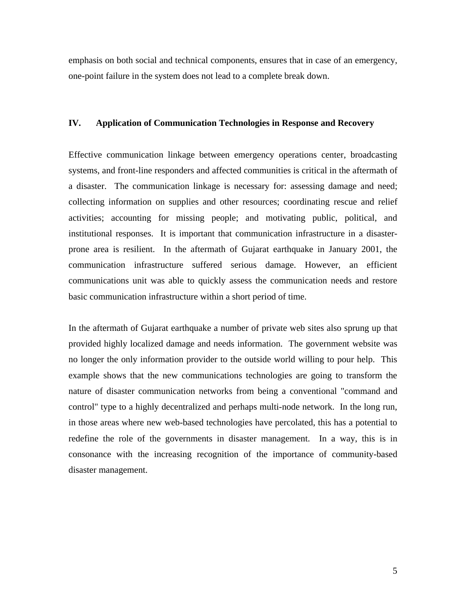emphasis on both social and technical components, ensures that in case of an emergency, one-point failure in the system does not lead to a complete break down.

### **IV. Application of Communication Technologies in Response and Recovery**

Effective communication linkage between emergency operations center, broadcasting systems, and front-line responders and affected communities is critical in the aftermath of a disaster. The communication linkage is necessary for: assessing damage and need; collecting information on supplies and other resources; coordinating rescue and relief activities; accounting for missing people; and motivating public, political, and institutional responses. It is important that communication infrastructure in a disasterprone area is resilient. In the aftermath of Gujarat earthquake in January 2001, the communication infrastructure suffered serious damage. However, an efficient communications unit was able to quickly assess the communication needs and restore basic communication infrastructure within a short period of time.

In the aftermath of Gujarat earthquake a number of private web sites also sprung up that provided highly localized damage and needs information. The government website was no longer the only information provider to the outside world willing to pour help. This example shows that the new communications technologies are going to transform the nature of disaster communication networks from being a conventional "command and control" type to a highly decentralized and perhaps multi-node network. In the long run, in those areas where new web-based technologies have percolated, this has a potential to redefine the role of the governments in disaster management. In a way, this is in consonance with the increasing recognition of the importance of community-based disaster management.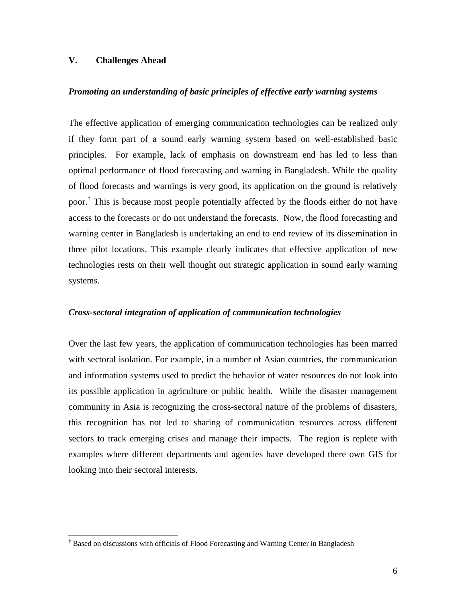# **V. Challenges Ahead**

 $\overline{a}$ 

### *Promoting an understanding of basic principles of effective early warning systems*

The effective application of emerging communication technologies can be realized only if they form part of a sound early warning system based on well-established basic principles. For example, lack of emphasis on downstream end has led to less than optimal performance of flood forecasting and warning in Bangladesh. While the quality of flood forecasts and warnings is very good, its application on the ground is relatively poor.‡ This is because most people potentially affected by the floods either do not have access to the forecasts or do not understand the forecasts. Now, the flood forecasting and warning center in Bangladesh is undertaking an end to end review of its dissemination in three pilot locations. This example clearly indicates that effective application of new technologies rests on their well thought out strategic application in sound early warning systems.

#### *Cross-sectoral integration of application of communication technologies*

Over the last few years, the application of communication technologies has been marred with sectoral isolation. For example, in a number of Asian countries, the communication and information systems used to predict the behavior of water resources do not look into its possible application in agriculture or public health. While the disaster management community in Asia is recognizing the cross-sectoral nature of the problems of disasters, this recognition has not led to sharing of communication resources across different sectors to track emerging crises and manage their impacts. The region is replete with examples where different departments and agencies have developed there own GIS for looking into their sectoral interests.

<sup>‡</sup> Based on discussions with officials of Flood Forecasting and Warning Center in Bangladesh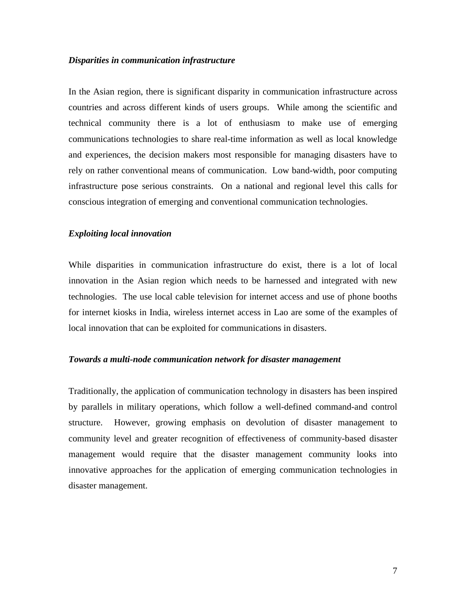#### *Disparities in communication infrastructure*

In the Asian region, there is significant disparity in communication infrastructure across countries and across different kinds of users groups. While among the scientific and technical community there is a lot of enthusiasm to make use of emerging communications technologies to share real-time information as well as local knowledge and experiences, the decision makers most responsible for managing disasters have to rely on rather conventional means of communication. Low band-width, poor computing infrastructure pose serious constraints. On a national and regional level this calls for conscious integration of emerging and conventional communication technologies.

#### *Exploiting local innovation*

While disparities in communication infrastructure do exist, there is a lot of local innovation in the Asian region which needs to be harnessed and integrated with new technologies. The use local cable television for internet access and use of phone booths for internet kiosks in India, wireless internet access in Lao are some of the examples of local innovation that can be exploited for communications in disasters.

### *Towards a multi-node communication network for disaster management*

Traditionally, the application of communication technology in disasters has been inspired by parallels in military operations, which follow a well-defined command-and control structure. However, growing emphasis on devolution of disaster management to community level and greater recognition of effectiveness of community-based disaster management would require that the disaster management community looks into innovative approaches for the application of emerging communication technologies in disaster management.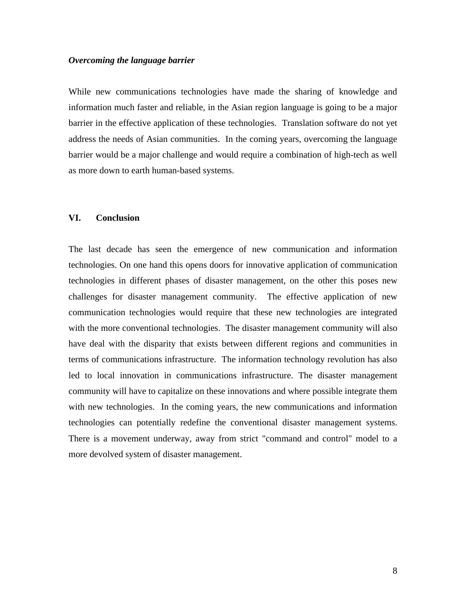### *Overcoming the language barrier*

While new communications technologies have made the sharing of knowledge and information much faster and reliable, in the Asian region language is going to be a major barrier in the effective application of these technologies. Translation software do not yet address the needs of Asian communities. In the coming years, overcoming the language barrier would be a major challenge and would require a combination of high-tech as well as more down to earth human-based systems.

## **VI. Conclusion**

The last decade has seen the emergence of new communication and information technologies. On one hand this opens doors for innovative application of communication technologies in different phases of disaster management, on the other this poses new challenges for disaster management community. The effective application of new communication technologies would require that these new technologies are integrated with the more conventional technologies. The disaster management community will also have deal with the disparity that exists between different regions and communities in terms of communications infrastructure. The information technology revolution has also led to local innovation in communications infrastructure. The disaster management community will have to capitalize on these innovations and where possible integrate them with new technologies. In the coming years, the new communications and information technologies can potentially redefine the conventional disaster management systems. There is a movement underway, away from strict "command and control" model to a more devolved system of disaster management.